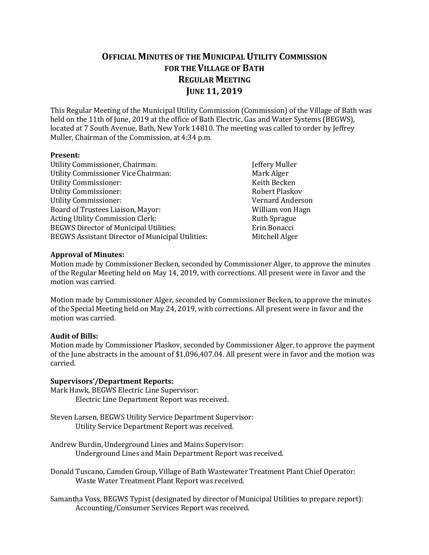# **OFFICIAL MINUTES OF THE MUNICIPAL UTILITY COMMISSION FOR THE VILLAGE OF BATH REGULAR MEETING JUNE 11, 2019**

This Regular Meeting of the Municipal Utility Commission (Commission) of the Village of Bath was held on the 11th of June, 2019 at the office of Bath Electric, Gas and Water Systems (BEGWS), located at 7 South Avenue, Bath, New York 14810. The meeting was called to order by Jeffrey Muller, Chairman of the Commission, at 4:34 p.m.

#### **Present:**

Jeffery Muller Mark Alger Keith Becken Utility Commissioner: Robert Plaskov Vernard Anderson William von Hagn Ruth Sprague Erin Bonacci Mitchell Alger

#### **Approval of Minutes:**

Motion made by Commissioner Becken, seconded by Commissioner Alger, to approve the minutes of the Regular Meeting held on May 14, 2019, with corrections. All present were in favor and the motion was carried.

Motion made by Commissioner Alger, seconded by Commissioner Becken, to approve the minutes of the Special Meeting held on May 24, 2019, with corrections. All present were in favor and the motion was carried.

#### **Audit of Bills:**

Motion made by Commissioner Plaskov, seconded by Commissioner Alger, to approve the payment of the June abstracts in the amount of \$1,096,407.04. All present were in favor and the motion was carried.

#### **Supervisors'/Department Reports:**

- Mark Hawk, BEGWS Electric Line Supervisor: Electric Line Department Report was received.
- Steven Larsen, BEGWS Utility Service Department Supervisor: Utility Service Department Report was received.
- Andrew Burdin, Underground Lines and Mains Supervisor: Underground Lines and Main Department Report was received.

Donald Tuscano, Camden Group, Village of Bath Wastewater Treatment Plant Chief Operator: Waste Water Treatment Plant Report was received.

Samantha Voss, BEGWS Typist (designated by director of Municipal Utilities to prepare report): Accounting/Consumer Services Report was received.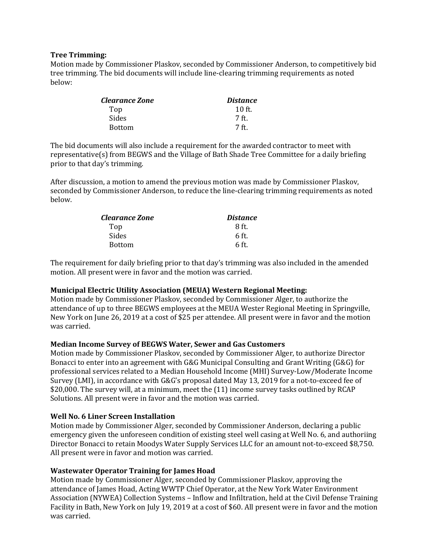#### **Tree Trimming:**

Motion made by Commissioner Plaskov, seconded by Commissioner Anderson, to competitively bid tree trimming. The bid documents will include line-clearing trimming requirements as noted below:

| <i><b>Clearance Zone</b></i> | <i>Distance</i> |
|------------------------------|-----------------|
| Top                          | $10$ ft.        |
| Sides                        | 7 ft.           |
| <b>Bottom</b>                | 7 ft            |

The bid documents will also include a requirement for the awarded contractor to meet with representative(s) from BEGWS and the Village of Bath Shade Tree Committee for a daily briefing prior to that day's trimming.

After discussion, a motion to amend the previous motion was made by Commissioner Plaskov, seconded by Commissioner Anderson, to reduce the line-clearing trimming requirements as noted below.

| <i><b>Clearance Zone</b></i> | <i>Distance</i> |
|------------------------------|-----------------|
| Top                          | 8 ft.           |
| Sides                        | $6$ ft.         |
| <b>Bottom</b>                | 6 ft.           |

The requirement for daily briefing prior to that day's trimming was also included in the amended motion. All present were in favor and the motion was carried.

#### **Municipal Electric Utility Association (MEUA) Western Regional Meeting:**

Motion made by Commissioner Plaskov, seconded by Commissioner Alger, to authorize the attendance of up to three BEGWS employees at the MEUA Wester Regional Meeting in Springville, New York on June 26, 2019 at a cost of \$25 per attendee. All present were in favor and the motion was carried.

#### **Median Income Survey of BEGWS Water, Sewer and Gas Customers**

Motion made by Commissioner Plaskov, seconded by Commissioner Alger, to authorize Director Bonacci to enter into an agreement with G&G Municipal Consulting and Grant Writing (G&G) for professional services related to a Median Household Income (MHI) Survey-Low/Moderate Income Survey (LMI), in accordance with G&G's proposal dated May 13, 2019 for a not-to-exceed fee of \$20,000. The survey will, at a minimum, meet the (11) income survey tasks outlined by RCAP Solutions. All present were in favor and the motion was carried.

#### **Well No. 6 Liner Screen Installation**

Motion made by Commissioner Alger, seconded by Commissioner Anderson, declaring a public emergency given the unforeseen condition of existing steel well casing at Well No. 6, and authoriing Director Bonacci to retain Moodys Water Supply Services LLC for an amount not-to-exceed \$8,750. All present were in favor and motion was carried.

# **Wastewater Operator Training for James Hoad**

Motion made by Commissioner Alger, seconded by Commissioner Plaskov, approving the attendance of James Hoad, Acting WWTP Chief Operator, at the New York Water Environment Association (NYWEA) Collection Systems – Inflow and Infiltration, held at the Civil Defense Training Facility in Bath, New York on July 19, 2019 at a cost of \$60. All present were in favor and the motion was carried.